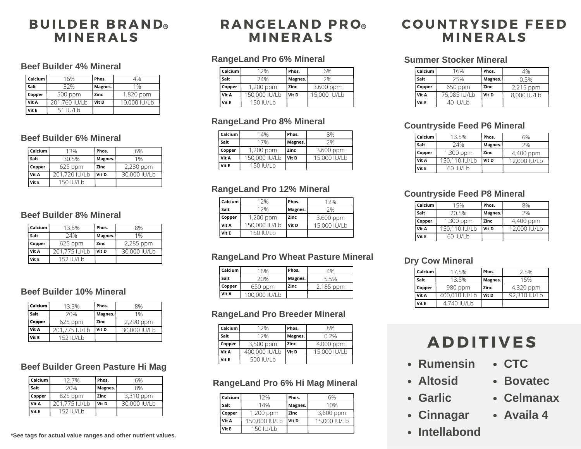## **B U I L D E R B R AND ® M INE R A LS**

#### **Beef Builder 4% Mineral**

| Calcium | 16%           | Phos.   | 4%           |
|---------|---------------|---------|--------------|
| Salt    | 32%           | Magnes. | 1%           |
| Copper  | 500 ppm       | Zinc    | 1,820 ppm    |
| Vit A   | 201.760 IU/Lb | Vit D   | 10,000 IU/Lb |
| Vit E   | 51 IU/Lb      |         |              |

#### **Beef Builder 6% Mineral**

| Calcium | 13%           | Phos.   | 6%           |
|---------|---------------|---------|--------------|
| Salt    | 30.5%         | Magnes. | 1%           |
| Copper  | $625$ ppm     | Zinc    | 2,280 ppm    |
| Vit A   | 201.720 IU/Lb | Vit D   | 30,000 IU/Lb |
| Vit E   | 150 IU/Lb     |         |              |

#### **Beef Builder 8% Mineral**

| Calcium | 13.5%         | Phos.   | 8%           |
|---------|---------------|---------|--------------|
| Salt    | 24%           | Magnes. | 1%           |
| Copper  | $625$ ppm     | Zinc    | 2,285 ppm    |
| Vit A   | 201.775 IU/Lb | Vit D   | 30,000 IU/Lb |
| Vit E   | 152 IU/Lb     |         |              |

#### **Beef Builder 10% Mineral**

| Calcium | 13.3%         | Phos.   | 8%           |
|---------|---------------|---------|--------------|
| Salt    | 20%           | Magnes. | 1%           |
| Copper  | $625$ ppm     | Zinc    | 2,290 ppm    |
| Vit A   | 201.775 IU/Lb | Vit D   | 30,000 IU/Lb |
| Vit E   | 152 IU/Lb     |         |              |

### **Beef Builder Green Pasture Hi Mag**

| Calcium | 127%          | Phos.   | 6%           |
|---------|---------------|---------|--------------|
| Salt    | 20%           | Magnes. | 8%           |
| Copper  | 825 ppm       | Zinc    | 3,310 ppm    |
| Vit A   | 201.775 IU/Lb | Vit D   | 30,000 IU/Lb |
| Vit E   | 152 IU/Lb     |         |              |

**\*See tags for actual value ranges and other nutrient values.**

# **R ANG EL AND P R O ® M INE R A LS**

### **RangeLand Pro 6% Mineral**

| Calcium | 12%           | Phos.   | 6%           |
|---------|---------------|---------|--------------|
| Salt    | 24%           | Magnes. | 7%           |
| Copper  | $1,200$ ppm   | Zinc    | 3,600 ppm    |
| Vit A   | 150,000 IU/Lb | Vit D   | 15,000 IU/Lb |
| Vit E   | 150 IU/Lb     |         |              |

## **RangeLand Pro 8% Mineral**

| Calcium | 14%           | Phos.   | 8%           |
|---------|---------------|---------|--------------|
| Salt    | 17%           | Magnes. | 7%           |
| Copper  | $1,200$ ppm   | Zinc    | 3,600 ppm    |
| Vit A   | 150,000 IU/Lb | Vit D   | 15,000 IU/Lb |
| Vit E   | 150 IU/Lb     |         |              |

### **RangeLand Pro 12% Mineral**

| Calcium | 12%           | Phos.   | 12%          |
|---------|---------------|---------|--------------|
| Salt    | 12%           | Magnes. | 7%           |
| Copper  | $1,200$ ppm   | Zinc    | 3,600 ppm    |
| Vit A   | 150,000 IU/Lb | Vit D   | 15,000 IU/Lb |
| Vit E   | 150 IU/Lb     |         |              |

#### **RangeLand Pro Wheat Pasture Mineral**

| Calcium | 16%           | Phos.   | 4%        |
|---------|---------------|---------|-----------|
| Salt    | 20%           | Magnes. | 5.5%      |
| Copper  | 650 ppm       | Zinc    | 2,185 ppm |
| Vit A   | 100,000 IU/Lh |         |           |

#### **RangeLand Pro Breeder Mineral**

| Calcium | 12%           | Phos.   | 8%           |
|---------|---------------|---------|--------------|
| Salt    | 12%           | Magnes. | 0.2%         |
| Copper  | 3,500 ppm     | Zinc    | 4,000 ppm    |
| Vit A   | 400,000 IU/Lb | l Vit D | 15,000 IU/Lb |
| Vit E   | 500 IU/Lb     |         |              |

#### **RangeLand Pro 6% Hi Mag Mineral**

| Calcium | 12%           | Phos.   | 6%           |
|---------|---------------|---------|--------------|
| Salt    | 14%           | Magnes. | 10%          |
| Copper  | 1,200 ppm     | Zinc    | 3,600 ppm    |
| Vit A   | 150,000 IU/Lb | Vit D   | 15,000 IU/Lb |
| Vit E   | 150 IU/I b    |         |              |

# **C O UNT R YSI D E FEE D M INE R A LS**

#### **Summer Stocker Mineral**

| Calcium | 16%          | Phos.   | 4%          |
|---------|--------------|---------|-------------|
| Salt    | 25%          | Magnes. | 0.5%        |
| Copper  | 650 ppm      | Zinc    | 2,215 ppm   |
| Vit A   | 75.085 IU/Lb | Vit D   | 8,000 IU/Lb |
| Vit E   | 40 IU/Lb     |         |             |

#### **Countryside Feed P6 Mineral**

| Calcium | 13.5%         | Phos.   | 6%           |
|---------|---------------|---------|--------------|
| Salt    | 24%           | Magnes. | 7%           |
| Copper  | $1,300$ ppm   | Zinc    | 4,400 ppm    |
| Vit A   | 150.110 IU/Lb | Vit D   | 12,000 IU/Lb |
| Vit E   | 60 IU/Lb      |         |              |

#### **Countryside Feed P8 Mineral**

| Calcium | 15%           | Phos.   | 8%           |
|---------|---------------|---------|--------------|
| Salt    | 20.5%         | Magnes. | 7%           |
| Copper  | 1,300 ppm     | Zinc    | 4,400 ppm    |
| Vit A   | 150.110 IU/Lb | Vit D   | 12,000 IU/Lb |
| Vit E   | 60 IU/Lb      |         |              |

#### **Dry Cow Mineral**

| Calcium | 17.5%         | Phos.   | 2.5%         |
|---------|---------------|---------|--------------|
| Salt    | 13.5%         | Magnes. | 15%          |
| Copper  | 980 ppm       | Zinc    | 4,320 ppm    |
| Vit A   | 400,010 IU/Lb | Vit D   | 92,310 IU/Lb |
| Vit E   | 4.740 IU/Lb   |         |              |

# **A D D I T I V ES**

- **Rumensin CTC**
- **Altosid**
- **Garlic**
- **Cinnagar**
- **Intellabond**
- **Bovatec**
- **Celmanax**
- **Availa 4**